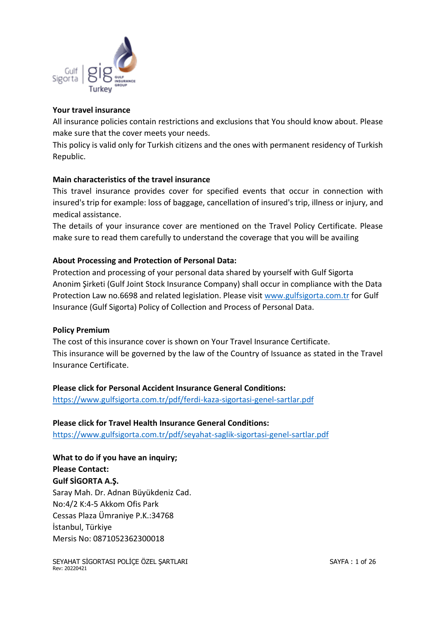

### **Your travel insurance**

All insurance policies contain restrictions and exclusions that You should know about. Please make sure that the cover meets your needs.

This policy is valid only for Turkish citizens and the ones with permanent residency of Turkish Republic.

### **Main characteristics of the travel insurance**

This travel insurance provides cover for specified events that occur in connection with insured's trip for example: loss of baggage, cancellation of insured's trip, illness or injury, and medical assistance.

The details of your insurance cover are mentioned on the Travel Policy Certificate. Please make sure to read them carefully to understand the coverage that you will be availing

### **About Processing and Protection of Personal Data:**

Protection and processing of your personal data shared by yourself with Gulf Sigorta Anonim Şirketi (Gulf Joint Stock Insurance Company) shall occur in compliance with the Data Protection Law no.6698 and related legislation. Please visit [www.gulfsigorta.com.tr](http://www.gulfsigorta.com.tr/) for Gulf Insurance (Gulf Sigorta) Policy of Collection and Process of Personal Data.

#### **Policy Premium**

The cost of this insurance cover is shown on Your Travel Insurance Certificate. This insurance will be governed by the law of the Country of Issuance as stated in the Travel Insurance Certificate.

**Please click for Personal Accident Insurance General Conditions:** <https://www.gulfsigorta.com.tr/pdf/ferdi-kaza-sigortasi-genel-sartlar.pdf>

**Please click for Travel Health Insurance General Conditions:** <https://www.gulfsigorta.com.tr/pdf/seyahat-saglik-sigortasi-genel-sartlar.pdf>

**What to do if you have an inquiry; Please Contact: Gulf SİGORTA A.Ş.** Saray Mah. Dr. Adnan Büyükdeniz Cad. No:4/2 K:4-5 Akkom Ofis Park Cessas Plaza Ümraniye P.K.:34768 İstanbul, Türkiye Mersis No: 0871052362300018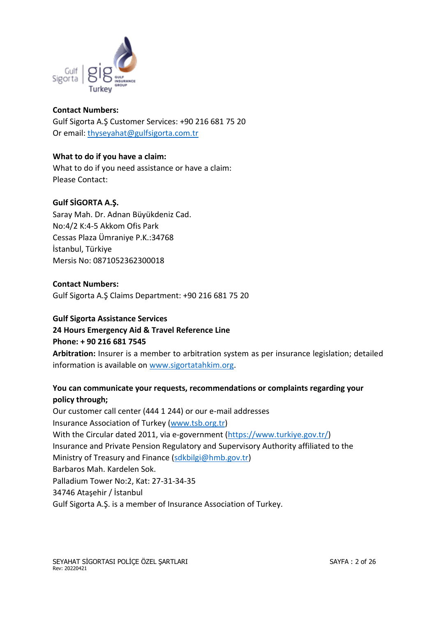

## **Contact Numbers:**

Gulf Sigorta A.Ş Customer Services: +90 216 681 75 20 Or email: [thyseyahat@gulfsigorta.com.tr](mailto:thyseyahat@gulfsigorta.com.tr)

## **What to do if you have a claim:**

What to do if you need assistance or have a claim: Please Contact:

## **Gulf SİGORTA A.Ş.**

Saray Mah. Dr. Adnan Büyükdeniz Cad. No:4/2 K:4-5 Akkom Ofis Park Cessas Plaza Ümraniye P.K.:34768 İstanbul, Türkiye Mersis No: 0871052362300018

### **Contact Numbers:**

Gulf Sigorta A.Ş Claims Department: +90 216 681 75 20

## **Gulf Sigorta Assistance Services**

### **24 Hours Emergency Aid & Travel Reference Line Phone: + 90 216 681 7545**

**Arbitration:** Insurer is a member to arbitration system as per insurance legislation; detailed information is available on [www.sigortatahkim.org.](http://www.sigortatahkim.org/)

# **You can communicate your requests, recommendations or complaints regarding your policy through;**

Our customer call center (444 1 244) or our e-mail addresses Insurance Association of Turkey [\(www.tsb.org.tr\)](http://www.tsb.org.tr/) With the Circular dated 2011, via e-government [\(https://www.turkiye.gov.tr/\)](https://www.turkiye.gov.tr/) Insurance and Private Pension Regulatory and Supervisory Authority affiliated to the Ministry of Treasury and Finance [\(sdkbilgi@hmb.gov.tr\)](mailto:sdkbilgi@hmb.gov.tr) Barbaros Mah. Kardelen Sok. Palladium Tower No:2, Kat: 27-31-34-35 34746 Ataşehir / İstanbul Gulf Sigorta A.Ş. is a member of Insurance Association of Turkey.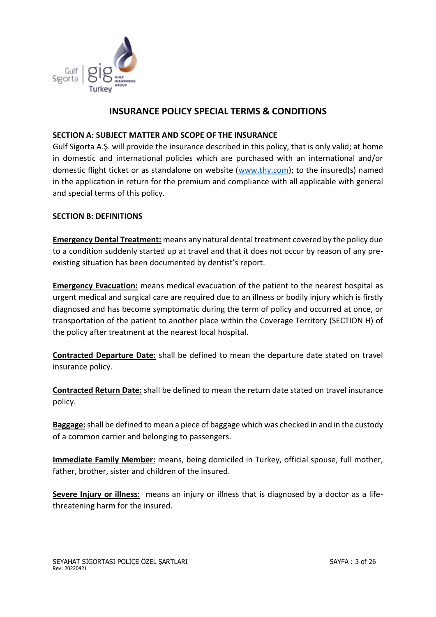

# **INSURANCE POLICY SPECIAL TERMS & CONDITIONS**

## **SECTION A: SUBJECT MATTER AND SCOPE OF THE INSURANCE**

Gulf Sigorta A.Ş. will provide the insurance described in this policy, that is only valid; at home in domestic and international policies which are purchased with an international and/or domestic flight ticket or as standalone on website [\(www.thy.com\)](http://www.thy.com/); to the insured(s) named in the application in return for the premium and compliance with all applicable with general and special terms of this policy.

#### **SECTION B: DEFINITIONS**

**Emergency Dental Treatment:** means any natural dental treatment covered by the policy due to a condition suddenly started up at travel and that it does not occur by reason of any preexisting situation has been documented by dentist's report.

**Emergency Evacuation:** means medical evacuation of the patient to the nearest hospital as urgent medical and surgical care are required due to an illness or bodily injury which is firstly diagnosed and has become symptomatic during the term of policy and occurred at once, or transportation of the patient to another place within the Coverage Territory (SECTION H) of the policy after treatment at the nearest local hospital.

**Contracted Departure Date:** shall be defined to mean the departure date stated on travel insurance policy.

**Contracted Return Date:** shall be defined to mean the return date stated on travel insurance policy.

**Baggage:**shall be defined to mean a piece of baggage which was checked in and in the custody of a common carrier and belonging to passengers.

**Immediate Family Member:** means, being domiciled in Turkey, official spouse, full mother, father, brother, sister and children of the insured.

**Severe Injury or illness:** means an injury or illness that is diagnosed by a doctor as a lifethreatening harm for the insured.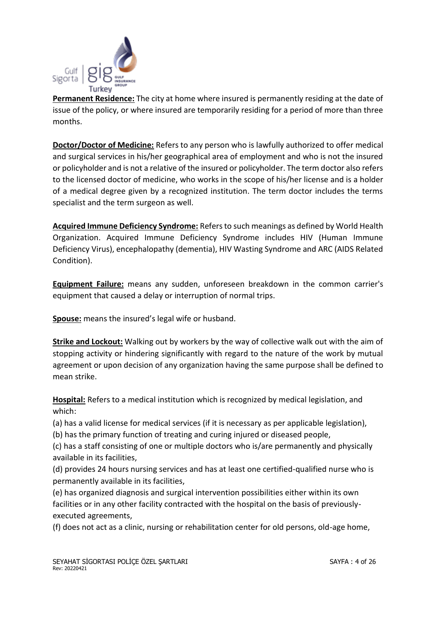

**Permanent Residence:** The city at home where insured is permanently residing at the date of issue of the policy, or where insured are temporarily residing for a period of more than three months.

**Doctor/Doctor of Medicine:** Refers to any person who is lawfully authorized to offer medical and surgical services in his/her geographical area of employment and who is not the insured or policyholder and is not a relative of the insured or policyholder. The term doctor also refers to the licensed doctor of medicine, who works in the scope of his/her license and is a holder of a medical degree given by a recognized institution. The term doctor includes the terms specialist and the term surgeon as well.

**Acquired Immune Deficiency Syndrome:** Refers to such meanings as defined by World Health Organization. Acquired Immune Deficiency Syndrome includes HIV (Human Immune Deficiency Virus), encephalopathy (dementia), HIV Wasting Syndrome and ARC (AIDS Related Condition).

**Equipment Failure:** means any sudden, unforeseen breakdown in the common carrier's equipment that caused a delay or interruption of normal trips.

**Spouse:** means the insured's legal wife or husband.

**Strike and Lockout:** Walking out by workers by the way of collective walk out with the aim of stopping activity or hindering significantly with regard to the nature of the work by mutual agreement or upon decision of any organization having the same purpose shall be defined to mean strike.

**Hospital:** Refers to a medical institution which is recognized by medical legislation, and which:

(a) has a valid license for medical services (if it is necessary as per applicable legislation),

(b) has the primary function of treating and curing injured or diseased people,

(c) has a staff consisting of one or multiple doctors who is/are permanently and physically available in its facilities,

(d) provides 24 hours nursing services and has at least one certified-qualified nurse who is permanently available in its facilities,

(e) has organized diagnosis and surgical intervention possibilities either within its own facilities or in any other facility contracted with the hospital on the basis of previouslyexecuted agreements,

(f) does not act as a clinic, nursing or rehabilitation center for old persons, old-age home,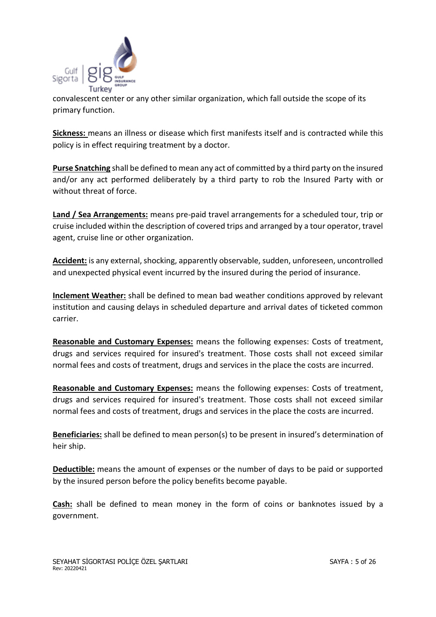

convalescent center or any other similar organization, which fall outside the scope of its primary function.

**Sickness:** means an illness or disease which first manifests itself and is contracted while this policy is in effect requiring treatment by a doctor.

**Purse Snatching** shall be defined to mean any act of committed by a third party on the insured and/or any act performed deliberately by a third party to rob the Insured Party with or without threat of force.

**Land / Sea Arrangements:** means pre-paid travel arrangements for a scheduled tour, trip or cruise included within the description of covered trips and arranged by a tour operator, travel agent, cruise line or other organization.

**Accident:** is any external, shocking, apparently observable, sudden, unforeseen, uncontrolled and unexpected physical event incurred by the insured during the period of insurance.

**Inclement Weather:** shall be defined to mean bad weather conditions approved by relevant institution and causing delays in scheduled departure and arrival dates of ticketed common carrier.

**Reasonable and Customary Expenses:** means the following expenses: Costs of treatment, drugs and services required for insured's treatment. Those costs shall not exceed similar normal fees and costs of treatment, drugs and services in the place the costs are incurred.

**Reasonable and Customary Expenses:** means the following expenses: Costs of treatment, drugs and services required for insured's treatment. Those costs shall not exceed similar normal fees and costs of treatment, drugs and services in the place the costs are incurred.

**Beneficiaries:** shall be defined to mean person(s) to be present in insured's determination of heir ship.

**Deductible:** means the amount of expenses or the number of days to be paid or supported by the insured person before the policy benefits become payable.

**Cash:** shall be defined to mean money in the form of coins or banknotes issued by a government.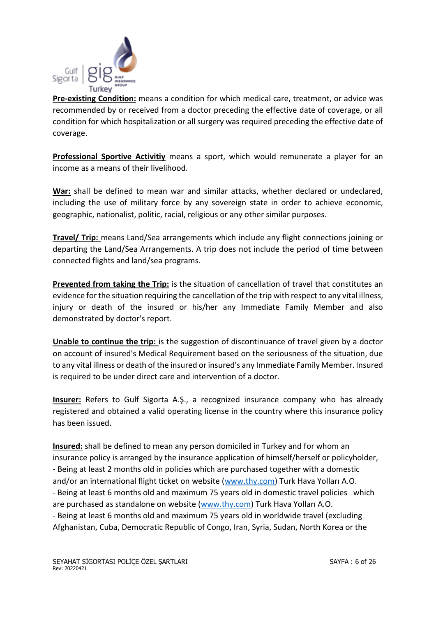

**Pre-existing Condition:** means a condition for which medical care, treatment, or advice was recommended by or received from a doctor preceding the effective date of coverage, or all condition for which hospitalization or all surgery was required preceding the effective date of coverage.

**Professional Sportive Activitiy** means a sport, which would remunerate a player for an income as a means of their livelihood.

**War:** shall be defined to mean war and similar attacks, whether declared or undeclared, including the use of military force by any sovereign state in order to achieve economic, geographic, nationalist, politic, racial, religious or any other similar purposes.

**Travel/ Trip:** means Land/Sea arrangements which include any flight connections joining or departing the Land/Sea Arrangements. A trip does not include the period of time between connected flights and land/sea programs.

**Prevented from taking the Trip:** is the situation of cancellation of travel that constitutes an evidence for the situation requiring the cancellation of the trip with respect to any vital illness, injury or death of the insured or his/her any Immediate Family Member and also demonstrated by doctor's report.

**Unable to continue the trip:** is the suggestion of discontinuance of travel given by a doctor on account of insured's Medical Requirement based on the seriousness of the situation, due to any vital illness or death of the insured or insured's any Immediate Family Member. Insured is required to be under direct care and intervention of a doctor.

**Insurer:** Refers to Gulf Sigorta A.Ş., a recognized insurance company who has already registered and obtained a valid operating license in the country where this insurance policy has been issued.

**Insured:** shall be defined to mean any person domiciled in Turkey and for whom an insurance policy is arranged by the insurance application of himself/herself or policyholder, - Being at least 2 months old in policies which are purchased together with a domestic and/or an international flight ticket on website [\(www.thy.com\)](http://www.thy.com/) Turk Hava Yolları A.O. - Being at least 6 months old and maximum 75 years old in domestic travel policies which are purchased as standalone on website [\(www.thy.com\)](http://www.thy.com/) Turk Hava Yolları A.O. - Being at least 6 months old and maximum 75 years old in worldwide travel (excluding Afghanistan, Cuba, Democratic Republic of Congo, Iran, Syria, Sudan, North Korea or the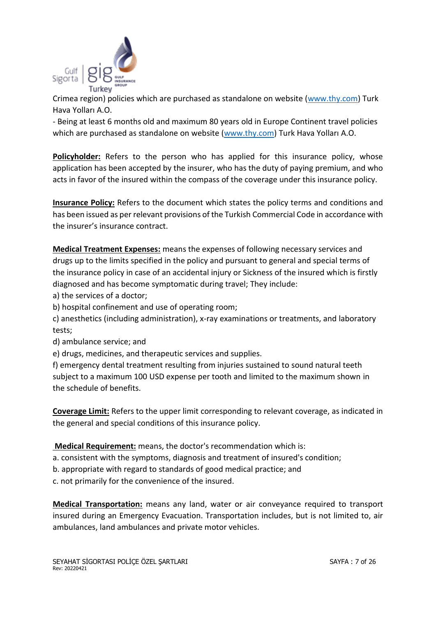

Crimea region) policies which are purchased as standalone on website [\(www.thy.com\)](http://www.thy.com/) Turk Hava Yolları A.O.

- Being at least 6 months old and maximum 80 years old in Europe Continent travel policies which are purchased as standalone on website [\(www.thy.com\)](http://www.thy.com/) Turk Hava Yolları A.O.

**Policyholder:** Refers to the person who has applied for this insurance policy, whose application has been accepted by the insurer, who has the duty of paying premium, and who acts in favor of the insured within the compass of the coverage under this insurance policy.

**Insurance Policy:** Refers to the document which states the policy terms and conditions and has been issued as per relevant provisions of the Turkish Commercial Code in accordance with the insurer's insurance contract.

**Medical Treatment Expenses:** means the expenses of following necessary services and drugs up to the limits specified in the policy and pursuant to general and special terms of the insurance policy in case of an accidental injury or Sickness of the insured which is firstly diagnosed and has become symptomatic during travel; They include:

a) the services of a doctor;

b) hospital confinement and use of operating room;

c) anesthetics (including administration), x-ray examinations or treatments, and laboratory tests;

d) ambulance service; and

e) drugs, medicines, and therapeutic services and supplies.

f) emergency dental treatment resulting from injuries sustained to sound natural teeth subject to a maximum 100 USD expense per tooth and limited to the maximum shown in the schedule of benefits.

**Coverage Limit:** Refers to the upper limit corresponding to relevant coverage, as indicated in the general and special conditions of this insurance policy.

**Medical Requirement:** means, the doctor's recommendation which is:

- a. consistent with the symptoms, diagnosis and treatment of insured's condition;
- b. appropriate with regard to standards of good medical practice; and

c. not primarily for the convenience of the insured.

**Medical Transportation:** means any land, water or air conveyance required to transport insured during an Emergency Evacuation. Transportation includes, but is not limited to, air ambulances, land ambulances and private motor vehicles.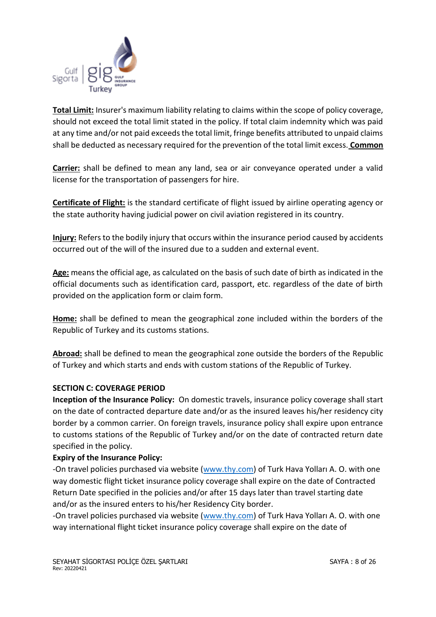

**Total Limit:** Insurer's maximum liability relating to claims within the scope of policy coverage, should not exceed the total limit stated in the policy. If total claim indemnity which was paid at any time and/or not paid exceeds the total limit, fringe benefits attributed to unpaid claims shall be deducted as necessary required for the prevention of the total limit excess. **Common** 

**Carrier:** shall be defined to mean any land, sea or air conveyance operated under a valid license for the transportation of passengers for hire.

**Certificate of Flight:** is the standard certificate of flight issued by airline operating agency or the state authority having judicial power on civil aviation registered in its country.

**Injury:** Refers to the bodily injury that occurs within the insurance period caused by accidents occurred out of the will of the insured due to a sudden and external event.

**Age:** means the official age, as calculated on the basis of such date of birth as indicated in the official documents such as identification card, passport, etc. regardless of the date of birth provided on the application form or claim form.

**Home:** shall be defined to mean the geographical zone included within the borders of the Republic of Turkey and its customs stations.

**Abroad:** shall be defined to mean the geographical zone outside the borders of the Republic of Turkey and which starts and ends with custom stations of the Republic of Turkey.

## **SECTION C: COVERAGE PERIOD**

**Inception of the Insurance Policy:** On domestic travels, insurance policy coverage shall start on the date of contracted departure date and/or as the insured leaves his/her residency city border by a common carrier. On foreign travels, insurance policy shall expire upon entrance to customs stations of the Republic of Turkey and/or on the date of contracted return date specified in the policy.

## **Expiry of the Insurance Policy:**

-On travel policies purchased via website [\(www.thy.com\)](http://www.thy.com/) of Turk Hava Yolları A. O. with one way domestic flight ticket insurance policy coverage shall expire on the date of Contracted Return Date specified in the policies and/or after 15 days later than travel starting date and/or as the insured enters to his/her Residency City border.

-On travel policies purchased via website [\(www.thy.com\)](http://www.thy.com/) of Turk Hava Yolları A. O. with one way international flight ticket insurance policy coverage shall expire on the date of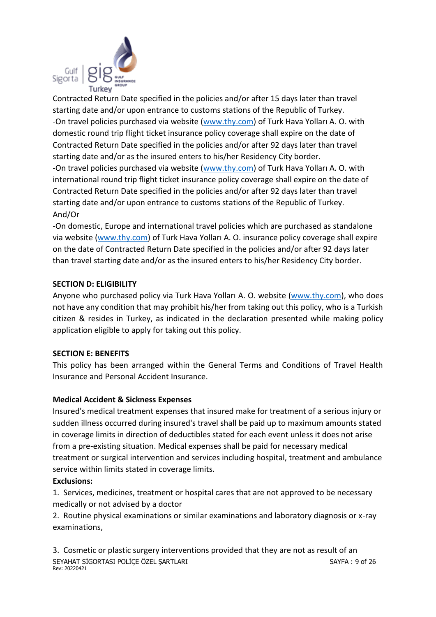

Contracted Return Date specified in the policies and/or after 15 days later than travel starting date and/or upon entrance to customs stations of the Republic of Turkey. -On travel policies purchased via website [\(www.thy.com\)](http://www.thy.com/) of Turk Hava Yolları A. O. with domestic round trip flight ticket insurance policy coverage shall expire on the date of Contracted Return Date specified in the policies and/or after 92 days later than travel starting date and/or as the insured enters to his/her Residency City border. -On travel policies purchased via website [\(www.thy.com\)](http://www.thy.com/) of Turk Hava Yolları A. O. with international round trip flight ticket insurance policy coverage shall expire on the date of Contracted Return Date specified in the policies and/or after 92 days later than travel starting date and/or upon entrance to customs stations of the Republic of Turkey. And/Or

-On domestic, Europe and international travel policies which are purchased as standalone via website [\(www.thy.com\)](http://www.thy.com/) of Turk Hava Yolları A. O. insurance policy coverage shall expire on the date of Contracted Return Date specified in the policies and/or after 92 days later than travel starting date and/or as the insured enters to his/her Residency City border.

## **SECTION D: ELIGIBILITY**

Anyone who purchased policy via Turk Hava Yolları A. O. website [\(www.thy.com\)](http://www.thy.com/), who does not have any condition that may prohibit his/her from taking out this policy, who is a Turkish citizen & resides in Turkey, as indicated in the declaration presented while making policy application eligible to apply for taking out this policy.

#### **SECTION E: BENEFITS**

This policy has been arranged within the General Terms and Conditions of Travel Health Insurance and Personal Accident Insurance.

#### **Medical Accident & Sickness Expenses**

Insured's medical treatment expenses that insured make for treatment of a serious injury or sudden illness occurred during insured's travel shall be paid up to maximum amounts stated in coverage limits in direction of deductibles stated for each event unless it does not arise from a pre-existing situation. Medical expenses shall be paid for necessary medical treatment or surgical intervention and services including hospital, treatment and ambulance service within limits stated in coverage limits.

#### **Exclusions:**

1. Services, medicines, treatment or hospital cares that are not approved to be necessary medically or not advised by a doctor

2. Routine physical examinations or similar examinations and laboratory diagnosis or x-ray examinations,

SEYAHAT SİGORTASI POLİCE ÖZEL SARTLARI SAYFA : 9 of 26 Rev: 20220421 3. Cosmetic or plastic surgery interventions provided that they are not as result of an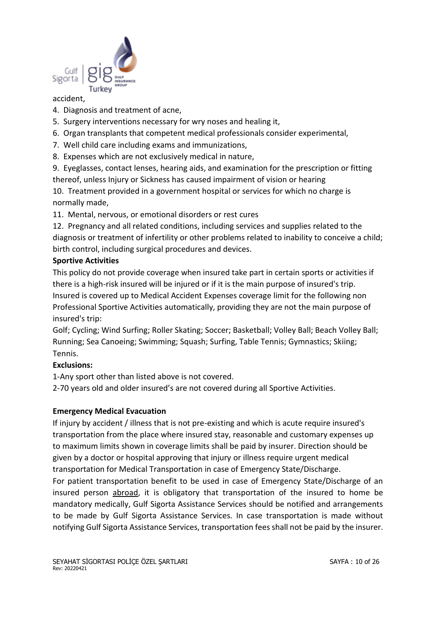

### accident,

- 4. Diagnosis and treatment of acne,
- 5. Surgery interventions necessary for wry noses and healing it,
- 6. Organ transplants that competent medical professionals consider experimental,
- 7. Well child care including exams and immunizations,
- 8. Expenses which are not exclusively medical in nature,
- 9. Eyeglasses, contact lenses, hearing aids, and examination for the prescription or fitting thereof, unless Injury or Sickness has caused impairment of vision or hearing

10. Treatment provided in a government hospital or services for which no charge is normally made,

11. Mental, nervous, or emotional disorders or rest cures

12. Pregnancy and all related conditions, including services and supplies related to the diagnosis or treatment of infertility or other problems related to inability to conceive a child; birth control, including surgical procedures and devices.

## **Sportive Activities**

This policy do not provide coverage when insured take part in certain sports or activities if there is a high-risk insured will be injured or if it is the main purpose of insured's trip. Insured is covered up to Medical Accident Expenses coverage limit for the following non Professional Sportive Activities automatically, providing they are not the main purpose of insured's trip:

Golf; Cycling; Wind Surfing; Roller Skating; Soccer; Basketball; Volley Ball; Beach Volley Ball; Running; Sea Canoeing; Swimming; Squash; Surfing, Table Tennis; Gymnastics; Skiing; Tennis.

## **Exclusions:**

1-Any sport other than listed above is not covered.

2-70 years old and older insured's are not covered during all Sportive Activities.

#### **Emergency Medical Evacuation**

If injury by accident / illness that is not pre-existing and which is acute require insured's transportation from the place where insured stay, reasonable and customary expenses up to maximum limits shown in coverage limits shall be paid by insurer. Direction should be given by a doctor or hospital approving that injury or illness require urgent medical transportation for Medical Transportation in case of Emergency State/Discharge.

For patient transportation benefit to be used in case of Emergency State/Discharge of an insured person abroad, it is obligatory that transportation of the insured to home be mandatory medically, Gulf Sigorta Assistance Services should be notified and arrangements to be made by Gulf Sigorta Assistance Services. In case transportation is made without notifying Gulf Sigorta Assistance Services, transportation fees shall not be paid by the insurer.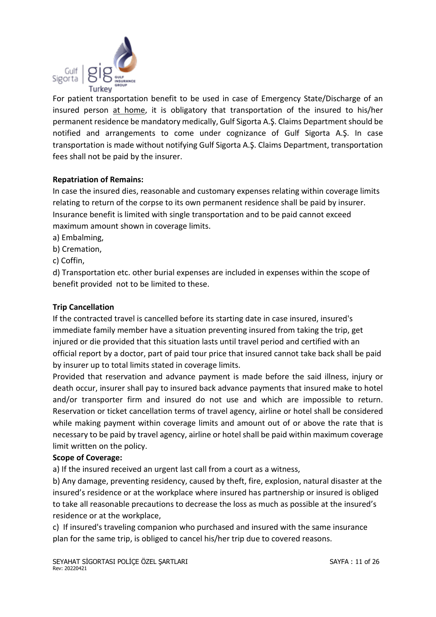

For patient transportation benefit to be used in case of Emergency State/Discharge of an insured person at home, it is obligatory that transportation of the insured to his/her permanent residence be mandatory medically, Gulf Sigorta A.Ş. Claims Department should be notified and arrangements to come under cognizance of Gulf Sigorta A.Ş. In case transportation is made without notifying Gulf Sigorta A.Ş. Claims Department, transportation fees shall not be paid by the insurer.

### **Repatriation of Remains:**

In case the insured dies, reasonable and customary expenses relating within coverage limits relating to return of the corpse to its own permanent residence shall be paid by insurer. Insurance benefit is limited with single transportation and to be paid cannot exceed maximum amount shown in coverage limits.

- a) Embalming,
- b) Cremation,
- c) Coffin,

d) Transportation etc. other burial expenses are included in expenses within the scope of benefit provided not to be limited to these.

### **Trip Cancellation**

If the contracted travel is cancelled before its starting date in case insured, insured's immediate family member have a situation preventing insured from taking the trip, get injured or die provided that this situation lasts until travel period and certified with an official report by a doctor, part of paid tour price that insured cannot take back shall be paid by insurer up to total limits stated in coverage limits.

Provided that reservation and advance payment is made before the said illness, injury or death occur, insurer shall pay to insured back advance payments that insured make to hotel and/or transporter firm and insured do not use and which are impossible to return. Reservation or ticket cancellation terms of travel agency, airline or hotel shall be considered while making payment within coverage limits and amount out of or above the rate that is necessary to be paid by travel agency, airline or hotel shall be paid within maximum coverage limit written on the policy.

#### **Scope of Coverage:**

a) If the insured received an urgent last call from a court as a witness,

b) Any damage, preventing residency, caused by theft, fire, explosion, natural disaster at the insured's residence or at the workplace where insured has partnership or insured is obliged to take all reasonable precautions to decrease the loss as much as possible at the insured's residence or at the workplace,

c) If insured's traveling companion who purchased and insured with the same insurance plan for the same trip, is obliged to cancel his/her trip due to covered reasons.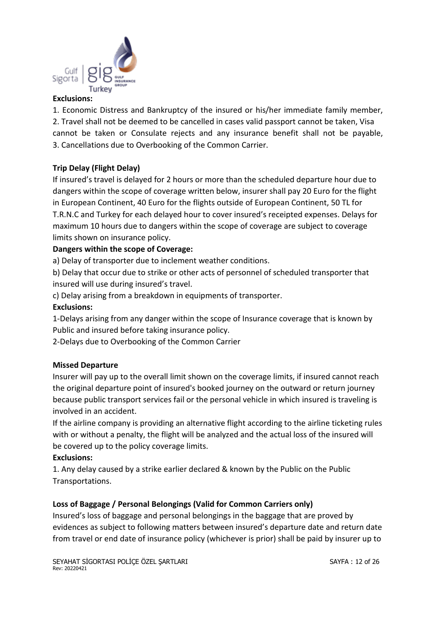

## **Exclusions:**

1. Economic Distress and Bankruptcy of the insured or his/her immediate family member, 2. Travel shall not be deemed to be cancelled in cases valid passport cannot be taken, Visa cannot be taken or Consulate rejects and any insurance benefit shall not be payable, 3. Cancellations due to Overbooking of the Common Carrier.

### **Trip Delay (Flight Delay)**

If insured's travel is delayed for 2 hours or more than the scheduled departure hour due to dangers within the scope of coverage written below, insurer shall pay 20 Euro for the flight in European Continent, 40 Euro for the flights outside of European Continent, 50 TL for T.R.N.C and Turkey for each delayed hour to cover insured's receipted expenses. Delays for maximum 10 hours due to dangers within the scope of coverage are subject to coverage limits shown on insurance policy.

### **Dangers within the scope of Coverage:**

a) Delay of transporter due to inclement weather conditions.

b) Delay that occur due to strike or other acts of personnel of scheduled transporter that insured will use during insured's travel.

c) Delay arising from a breakdown in equipments of transporter.

#### **Exclusions:**

1-Delays arising from any danger within the scope of Insurance coverage that is known by Public and insured before taking insurance policy.

2-Delays due to Overbooking of the Common Carrier

#### **Missed Departure**

Insurer will pay up to the overall limit shown on the coverage limits, if insured cannot reach the original departure point of insured's booked journey on the outward or return journey because public transport services fail or the personal vehicle in which insured is traveling is involved in an accident.

If the airline company is providing an alternative flight according to the airline ticketing rules with or without a penalty, the flight will be analyzed and the actual loss of the insured will be covered up to the policy coverage limits.

#### **Exclusions:**

1. Any delay caused by a strike earlier declared & known by the Public on the Public Transportations.

#### **Loss of Baggage / Personal Belongings (Valid for Common Carriers only)**

Insured's loss of baggage and personal belongings in the baggage that are proved by evidences as subject to following matters between insured's departure date and return date from travel or end date of insurance policy (whichever is prior) shall be paid by insurer up to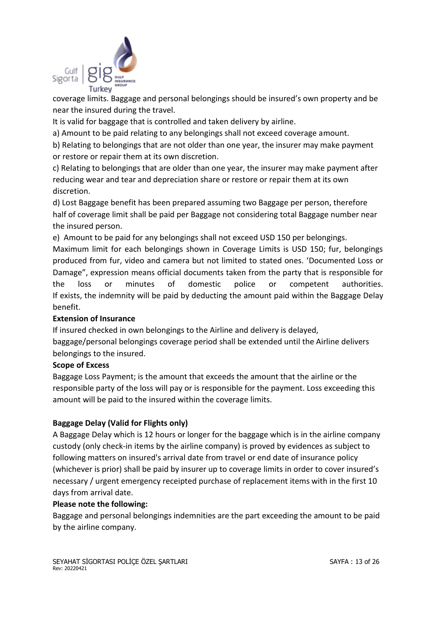

coverage limits. Baggage and personal belongings should be insured's own property and be near the insured during the travel.

It is valid for baggage that is controlled and taken delivery by airline.

a) Amount to be paid relating to any belongings shall not exceed coverage amount.

b) Relating to belongings that are not older than one year, the insurer may make payment or restore or repair them at its own discretion.

c) Relating to belongings that are older than one year, the insurer may make payment after reducing wear and tear and depreciation share or restore or repair them at its own discretion.

d) Lost Baggage benefit has been prepared assuming two Baggage per person, therefore half of coverage limit shall be paid per Baggage not considering total Baggage number near the insured person.

e) Amount to be paid for any belongings shall not exceed USD 150 per belongings.

Maximum limit for each belongings shown in Coverage Limits is USD 150; fur, belongings produced from fur, video and camera but not limited to stated ones. 'Documented Loss or Damage", expression means official documents taken from the party that is responsible for the loss or minutes of domestic police or competent authorities. If exists, the indemnity will be paid by deducting the amount paid within the Baggage Delay benefit.

## **Extension of Insurance**

If insured checked in own belongings to the Airline and delivery is delayed,

baggage/personal belongings coverage period shall be extended until the Airline delivers belongings to the insured.

#### **Scope of Excess**

Baggage Loss Payment; is the amount that exceeds the amount that the airline or the responsible party of the loss will pay or is responsible for the payment. Loss exceeding this amount will be paid to the insured within the coverage limits.

## **Baggage Delay (Valid for Flights only)**

A Baggage Delay which is 12 hours or longer for the baggage which is in the airline company custody (only check-in items by the airline company) is proved by evidences as subject to following matters on insured's arrival date from travel or end date of insurance policy (whichever is prior) shall be paid by insurer up to coverage limits in order to cover insured's necessary / urgent emergency receipted purchase of replacement items with in the first 10 days from arrival date.

#### **Please note the following:**

Baggage and personal belongings indemnities are the part exceeding the amount to be paid by the airline company.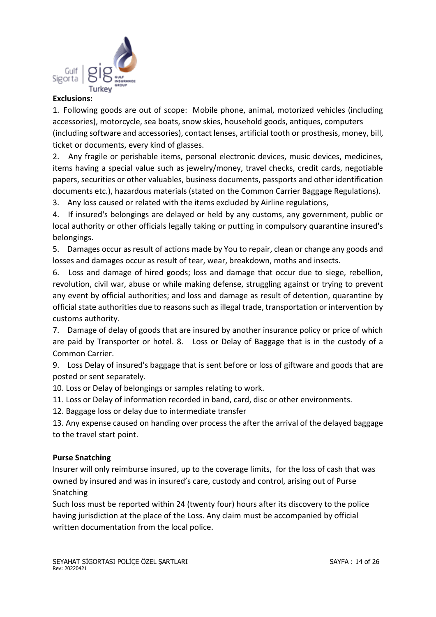

### **Exclusions:**

1. Following goods are out of scope: Mobile phone, animal, motorized vehicles (including accessories), motorcycle, sea boats, snow skies, household goods, antiques, computers (including software and accessories), contact lenses, artificial tooth or prosthesis, money, bill, ticket or documents, every kind of glasses.

2. Any fragile or perishable items, personal electronic devices, music devices, medicines, items having a special value such as jewelry/money, travel checks, credit cards, negotiable papers, securities or other valuables, business documents, passports and other identification documents etc.), hazardous materials (stated on the Common Carrier Baggage Regulations).

3. Any loss caused or related with the items excluded by Airline regulations,

4. If insured's belongings are delayed or held by any customs, any government, public or local authority or other officials legally taking or putting in compulsory quarantine insured's belongings.

5. Damages occur as result of actions made by You to repair, clean or change any goods and losses and damages occur as result of tear, wear, breakdown, moths and insects.

6. Loss and damage of hired goods; loss and damage that occur due to siege, rebellion, revolution, civil war, abuse or while making defense, struggling against or trying to prevent any event by official authorities; and loss and damage as result of detention, quarantine by official state authorities due to reasons such as illegal trade, transportation or intervention by customs authority.

7. Damage of delay of goods that are insured by another insurance policy or price of which are paid by Transporter or hotel. 8. Loss or Delay of Baggage that is in the custody of a Common Carrier.

9. Loss Delay of insured's baggage that is sent before or loss of giftware and goods that are posted or sent separately.

10. Loss or Delay of belongings or samples relating to work.

11. Loss or Delay of information recorded in band, card, disc or other environments.

12. Baggage loss or delay due to intermediate transfer

13. Any expense caused on handing over process the after the arrival of the delayed baggage to the travel start point.

## **Purse Snatching**

Insurer will only reimburse insured, up to the coverage limits, for the loss of cash that was owned by insured and was in insured's care, custody and control, arising out of Purse Snatching

Such loss must be reported within 24 (twenty four) hours after its discovery to the police having jurisdiction at the place of the Loss. Any claim must be accompanied by official written documentation from the local police.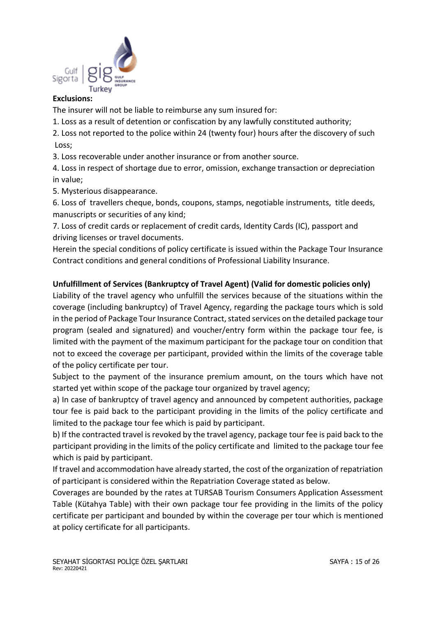

## **Exclusions:**

The insurer will not be liable to reimburse any sum insured for:

1. Loss as a result of detention or confiscation by any lawfully constituted authority;

2. Loss not reported to the police within 24 (twenty four) hours after the discovery of such Loss;

3. Loss recoverable under another insurance or from another source.

4. Loss in respect of shortage due to error, omission, exchange transaction or depreciation in value;

5. Mysterious disappearance.

6. Loss of travellers cheque, bonds, coupons, stamps, negotiable instruments, title deeds, manuscripts or securities of any kind;

7. Loss of credit cards or replacement of credit cards, Identity Cards (IC), passport and driving licenses or travel documents.

Herein the special conditions of policy certificate is issued within the Package Tour Insurance Contract conditions and general conditions of Professional Liability Insurance.

## **Unfulfillment of Services (Bankruptcy of Travel Agent) (Valid for domestic policies only)**

Liability of the travel agency who unfulfill the services because of the situations within the coverage (including bankruptcy) of Travel Agency, regarding the package tours which is sold in the period of Package Tour Insurance Contract, stated services on the detailed package tour program (sealed and signatured) and voucher/entry form within the package tour fee, is limited with the payment of the maximum participant for the package tour on condition that not to exceed the coverage per participant, provided within the limits of the coverage table of the policy certificate per tour.

Subject to the payment of the insurance premium amount, on the tours which have not started yet within scope of the package tour organized by travel agency;

a) In case of bankruptcy of travel agency and announced by competent authorities, package tour fee is paid back to the participant providing in the limits of the policy certificate and limited to the package tour fee which is paid by participant.

b) If the contracted travel is revoked by the travel agency, package tour fee is paid back to the participant providing in the limits of the policy certificate and limited to the package tour fee which is paid by participant.

If travel and accommodation have already started, the cost of the organization of repatriation of participant is considered within the Repatriation Coverage stated as below.

Coverages are bounded by the rates at TURSAB Tourism Consumers Application Assessment Table (Kütahya Table) with their own package tour fee providing in the limits of the policy certificate per participant and bounded by within the coverage per tour which is mentioned at policy certificate for all participants.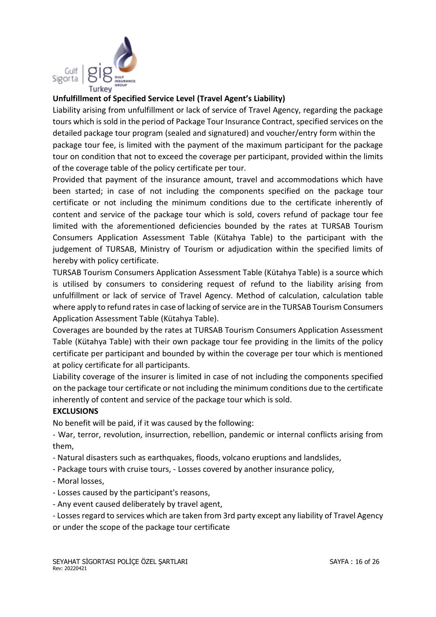

# **Unfulfillment of Specified Service Level (Travel Agent's Liability)**

Liability arising from unfulfillment or lack of service of Travel Agency, regarding the package tours which is sold in the period of Package Tour Insurance Contract, specified services on the detailed package tour program (sealed and signatured) and voucher/entry form within the package tour fee, is limited with the payment of the maximum participant for the package tour on condition that not to exceed the coverage per participant, provided within the limits of the coverage table of the policy certificate per tour.

Provided that payment of the insurance amount, travel and accommodations which have been started; in case of not including the components specified on the package tour certificate or not including the minimum conditions due to the certificate inherently of content and service of the package tour which is sold, covers refund of package tour fee limited with the aforementioned deficiencies bounded by the rates at TURSAB Tourism Consumers Application Assessment Table (Kütahya Table) to the participant with the judgement of TURSAB, Ministry of Tourism or adjudication within the specified limits of hereby with policy certificate.

TURSAB Tourism Consumers Application Assessment Table (Kütahya Table) is a source which is utilised by consumers to considering request of refund to the liability arising from unfulfillment or lack of service of Travel Agency. Method of calculation, calculation table where apply to refund rates in case of lacking of service are in the TURSAB Tourism Consumers Application Assessment Table (Kütahya Table).

Coverages are bounded by the rates at TURSAB Tourism Consumers Application Assessment Table (Kütahya Table) with their own package tour fee providing in the limits of the policy certificate per participant and bounded by within the coverage per tour which is mentioned at policy certificate for all participants.

Liability coverage of the insurer is limited in case of not including the components specified on the package tour certificate or not including the minimum conditions due to the certificate inherently of content and service of the package tour which is sold.

#### **EXCLUSIONS**

No benefit will be paid, if it was caused by the following:

- War, terror, revolution, insurrection, rebellion, pandemic or internal conflicts arising from them,

- Natural disasters such as earthquakes, floods, volcano eruptions and landslides,
- Package tours with cruise tours, Losses covered by another insurance policy,
- Moral losses,
- Losses caused by the participant's reasons,
- Any event caused deliberately by travel agent,
- Losses regard to services which are taken from 3rd party except any liability of Travel Agency or under the scope of the package tour certificate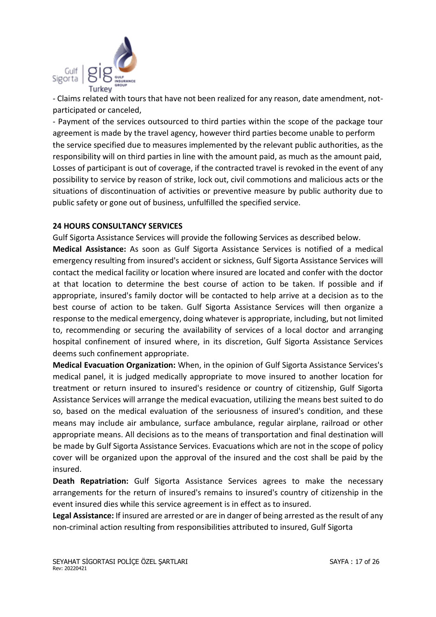

- Claims related with tours that have not been realized for any reason, date amendment, notparticipated or canceled,

- Payment of the services outsourced to third parties within the scope of the package tour agreement is made by the travel agency, however third parties become unable to perform the service specified due to measures implemented by the relevant public authorities, as the responsibility will on third parties in line with the amount paid, as much as the amount paid, Losses of participant is out of coverage, if the contracted travel is revoked in the event of any possibility to service by reason of strike, lock out, civil commotions and malicious acts or the situations of discontinuation of activities or preventive measure by public authority due to public safety or gone out of business, unfulfilled the specified service.

### **24 HOURS CONSULTANCY SERVICES**

Gulf Sigorta Assistance Services will provide the following Services as described below.

**Medical Assistance:** As soon as Gulf Sigorta Assistance Services is notified of a medical emergency resulting from insured's accident or sickness, Gulf Sigorta Assistance Services will contact the medical facility or location where insured are located and confer with the doctor at that location to determine the best course of action to be taken. If possible and if appropriate, insured's family doctor will be contacted to help arrive at a decision as to the best course of action to be taken. Gulf Sigorta Assistance Services will then organize a response to the medical emergency, doing whatever is appropriate, including, but not limited to, recommending or securing the availability of services of a local doctor and arranging hospital confinement of insured where, in its discretion, Gulf Sigorta Assistance Services deems such confinement appropriate.

**Medical Evacuation Organization:** When, in the opinion of Gulf Sigorta Assistance Services's medical panel, it is judged medically appropriate to move insured to another location for treatment or return insured to insured's residence or country of citizenship, Gulf Sigorta Assistance Services will arrange the medical evacuation, utilizing the means best suited to do so, based on the medical evaluation of the seriousness of insured's condition, and these means may include air ambulance, surface ambulance, regular airplane, railroad or other appropriate means. All decisions as to the means of transportation and final destination will be made by Gulf Sigorta Assistance Services. Evacuations which are not in the scope of policy cover will be organized upon the approval of the insured and the cost shall be paid by the insured.

**Death Repatriation:** Gulf Sigorta Assistance Services agrees to make the necessary arrangements for the return of insured's remains to insured's country of citizenship in the event insured dies while this service agreement is in effect as to insured.

**Legal Assistance:** If insured are arrested or are in danger of being arrested as the result of any non-criminal action resulting from responsibilities attributed to insured, Gulf Sigorta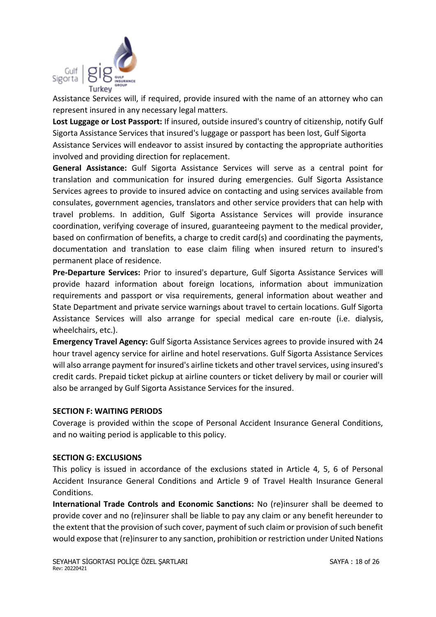

Assistance Services will, if required, provide insured with the name of an attorney who can represent insured in any necessary legal matters.

**Lost Luggage or Lost Passport:** If insured, outside insured's country of citizenship, notify Gulf Sigorta Assistance Services that insured's luggage or passport has been lost, Gulf Sigorta Assistance Services will endeavor to assist insured by contacting the appropriate authorities involved and providing direction for replacement.

**General Assistance:** Gulf Sigorta Assistance Services will serve as a central point for translation and communication for insured during emergencies. Gulf Sigorta Assistance Services agrees to provide to insured advice on contacting and using services available from consulates, government agencies, translators and other service providers that can help with travel problems. In addition, Gulf Sigorta Assistance Services will provide insurance coordination, verifying coverage of insured, guaranteeing payment to the medical provider, based on confirmation of benefits, a charge to credit card(s) and coordinating the payments, documentation and translation to ease claim filing when insured return to insured's permanent place of residence.

**Pre-Departure Services:** Prior to insured's departure, Gulf Sigorta Assistance Services will provide hazard information about foreign locations, information about immunization requirements and passport or visa requirements, general information about weather and State Department and private service warnings about travel to certain locations. Gulf Sigorta Assistance Services will also arrange for special medical care en-route (i.e. dialysis, wheelchairs, etc.).

**Emergency Travel Agency:** Gulf Sigorta Assistance Services agrees to provide insured with 24 hour travel agency service for airline and hotel reservations. Gulf Sigorta Assistance Services will also arrange payment for insured's airline tickets and other travel services, using insured's credit cards. Prepaid ticket pickup at airline counters or ticket delivery by mail or courier will also be arranged by Gulf Sigorta Assistance Services for the insured.

#### **SECTION F: WAITING PERIODS**

Coverage is provided within the scope of Personal Accident Insurance General Conditions, and no waiting period is applicable to this policy.

#### **SECTION G: EXCLUSIONS**

This policy is issued in accordance of the exclusions stated in Article 4, 5, 6 of Personal Accident Insurance General Conditions and Article 9 of Travel Health Insurance General Conditions.

**International Trade Controls and Economic Sanctions:** No (re)insurer shall be deemed to provide cover and no (re)insurer shall be liable to pay any claim or any benefit hereunder to the extent that the provision of such cover, payment of such claim or provision of such benefit would expose that (re)insurer to any sanction, prohibition or restriction under United Nations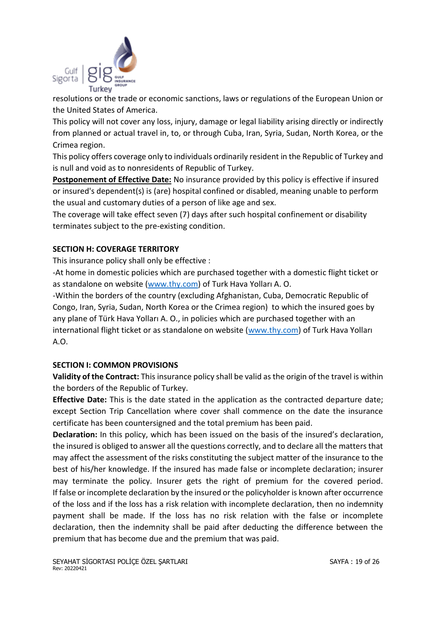

resolutions or the trade or economic sanctions, laws or regulations of the European Union or the United States of America.

This policy will not cover any loss, injury, damage or legal liability arising directly or indirectly from planned or actual travel in, to, or through Cuba, Iran, Syria, Sudan, North Korea, or the Crimea region.

This policy offers coverage only to individuals ordinarily resident in the Republic of Turkey and is null and void as to nonresidents of Republic of Turkey.

**Postponement of Effective Date:** No insurance provided by this policy is effective if insured or insured's dependent(s) is (are) hospital confined or disabled, meaning unable to perform the usual and customary duties of a person of like age and sex.

The coverage will take effect seven (7) days after such hospital confinement or disability terminates subject to the pre-existing condition.

# **SECTION H: COVERAGE TERRITORY**

This insurance policy shall only be effective :

-At home in domestic policies which are purchased together with a domestic flight ticket or as standalone on website [\(www.thy.com\)](http://www.thy.com/) of Turk Hava Yolları A. O.

-Within the borders of the country (excluding Afghanistan, Cuba, Democratic Republic of Congo, Iran, Syria, Sudan, North Korea or the Crimea region) to which the insured goes by any plane of Türk Hava Yolları A. O., in policies which are purchased together with an international flight ticket or as standalone on website [\(www.thy.com\)](http://www.thy.com/) of Turk Hava Yolları A.O.

## **SECTION I: COMMON PROVISIONS**

**Validity of the Contract:** This insurance policy shall be valid as the origin of the travel is within the borders of the Republic of Turkey.

**Effective Date:** This is the date stated in the application as the contracted departure date; except Section Trip Cancellation where cover shall commence on the date the insurance certificate has been countersigned and the total premium has been paid.

**Declaration:** In this policy, which has been issued on the basis of the insured's declaration, the insured is obliged to answer all the questions correctly, and to declare all the matters that may affect the assessment of the risks constituting the subject matter of the insurance to the best of his/her knowledge. If the insured has made false or incomplete declaration; insurer may terminate the policy. Insurer gets the right of premium for the covered period. If false or incomplete declaration by the insured or the policyholder is known after occurrence of the loss and if the loss has a risk relation with incomplete declaration, then no indemnity payment shall be made. If the loss has no risk relation with the false or incomplete declaration, then the indemnity shall be paid after deducting the difference between the premium that has become due and the premium that was paid.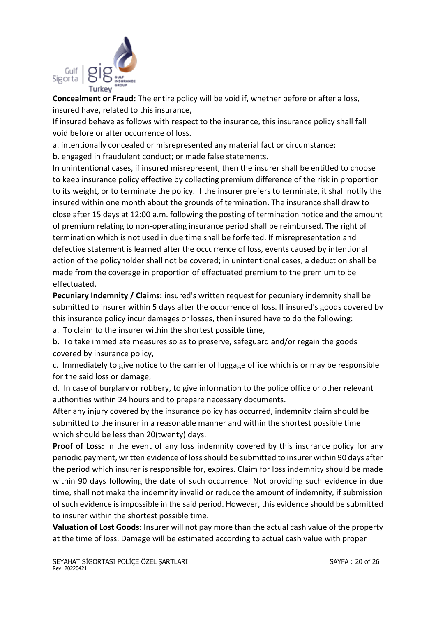

**Concealment or Fraud:** The entire policy will be void if, whether before or after a loss, insured have, related to this insurance,

If insured behave as follows with respect to the insurance, this insurance policy shall fall void before or after occurrence of loss.

a. intentionally concealed or misrepresented any material fact or circumstance;

b. engaged in fraudulent conduct; or made false statements.

In unintentional cases, if insured misrepresent, then the insurer shall be entitled to choose to keep insurance policy effective by collecting premium difference of the risk in proportion to its weight, or to terminate the policy. If the insurer prefers to terminate, it shall notify the insured within one month about the grounds of termination. The insurance shall draw to close after 15 days at 12:00 a.m. following the posting of termination notice and the amount of premium relating to non-operating insurance period shall be reimbursed. The right of termination which is not used in due time shall be forfeited. If misrepresentation and defective statement is learned after the occurrence of loss, events caused by intentional action of the policyholder shall not be covered; in unintentional cases, a deduction shall be made from the coverage in proportion of effectuated premium to the premium to be effectuated.

**Pecuniary Indemnity / Claims:** insured's written request for pecuniary indemnity shall be submitted to insurer within 5 days after the occurrence of loss. If insured's goods covered by this insurance policy incur damages or losses, then insured have to do the following:

a. To claim to the insurer within the shortest possible time,

b. To take immediate measures so as to preserve, safeguard and/or regain the goods covered by insurance policy,

c. Immediately to give notice to the carrier of luggage office which is or may be responsible for the said loss or damage,

d. In case of burglary or robbery, to give information to the police office or other relevant authorities within 24 hours and to prepare necessary documents.

After any injury covered by the insurance policy has occurred, indemnity claim should be submitted to the insurer in a reasonable manner and within the shortest possible time which should be less than 20(twenty) days.

**Proof of Loss:** In the event of any loss indemnity covered by this insurance policy for any periodic payment, written evidence of loss should be submitted to insurer within 90 days after the period which insurer is responsible for, expires. Claim for loss indemnity should be made within 90 days following the date of such occurrence. Not providing such evidence in due time, shall not make the indemnity invalid or reduce the amount of indemnity, if submission of such evidence is impossible in the said period. However, this evidence should be submitted to insurer within the shortest possible time.

**Valuation of Lost Goods:** Insurer will not pay more than the actual cash value of the property at the time of loss. Damage will be estimated according to actual cash value with proper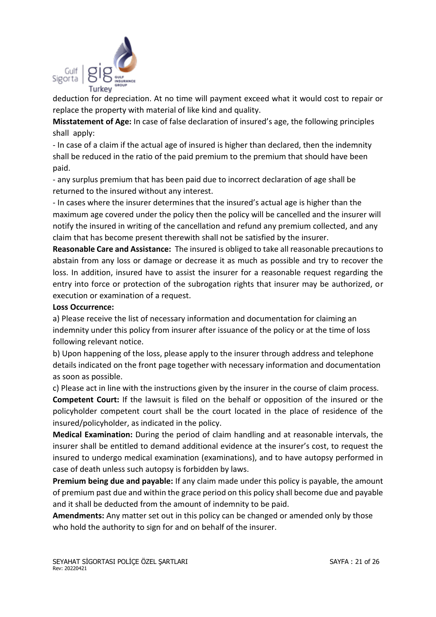

deduction for depreciation. At no time will payment exceed what it would cost to repair or replace the property with material of like kind and quality.

**Misstatement of Age:** In case of false declaration of insured's age, the following principles shall apply:

- In case of a claim if the actual age of insured is higher than declared, then the indemnity shall be reduced in the ratio of the paid premium to the premium that should have been paid.

- any surplus premium that has been paid due to incorrect declaration of age shall be returned to the insured without any interest.

- In cases where the insurer determines that the insured's actual age is higher than the maximum age covered under the policy then the policy will be cancelled and the insurer will notify the insured in writing of the cancellation and refund any premium collected, and any claim that has become present therewith shall not be satisfied by the insurer.

**Reasonable Care and Assistance:** The insured is obliged to take all reasonable precautions to abstain from any loss or damage or decrease it as much as possible and try to recover the loss. In addition, insured have to assist the insurer for a reasonable request regarding the entry into force or protection of the subrogation rights that insurer may be authorized, or execution or examination of a request.

### **Loss Occurrence:**

a) Please receive the list of necessary information and documentation for claiming an indemnity under this policy from insurer after issuance of the policy or at the time of loss following relevant notice.

b) Upon happening of the loss, please apply to the insurer through address and telephone details indicated on the front page together with necessary information and documentation as soon as possible.

c) Please act in line with the instructions given by the insurer in the course of claim process.

**Competent Court:** If the lawsuit is filed on the behalf or opposition of the insured or the policyholder competent court shall be the court located in the place of residence of the insured/policyholder, as indicated in the policy.

**Medical Examination:** During the period of claim handling and at reasonable intervals, the insurer shall be entitled to demand additional evidence at the insurer's cost, to request the insured to undergo medical examination (examinations), and to have autopsy performed in case of death unless such autopsy is forbidden by laws.

**Premium being due and payable:** If any claim made under this policy is payable, the amount of premium past due and within the grace period on this policy shall become due and payable and it shall be deducted from the amount of indemnity to be paid.

**Amendments:** Any matter set out in this policy can be changed or amended only by those who hold the authority to sign for and on behalf of the insurer.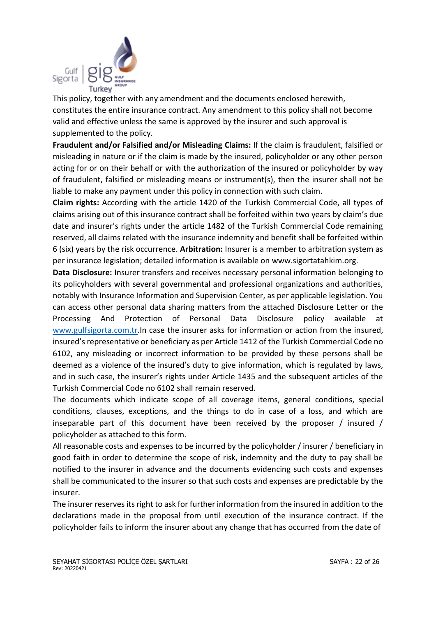

This policy, together with any amendment and the documents enclosed herewith, constitutes the entire insurance contract. Any amendment to this policy shall not become valid and effective unless the same is approved by the insurer and such approval is supplemented to the policy.

**Fraudulent and/or Falsified and/or Misleading Claims:** If the claim is fraudulent, falsified or misleading in nature or if the claim is made by the insured, policyholder or any other person acting for or on their behalf or with the authorization of the insured or policyholder by way of fraudulent, falsified or misleading means or instrument(s), then the insurer shall not be liable to make any payment under this policy in connection with such claim.

**Claim rights:** According with the article 1420 of the Turkish Commercial Code, all types of claims arising out of this insurance contract shall be forfeited within two years by claim's due date and insurer's rights under the article 1482 of the Turkish Commercial Code remaining reserved, all claims related with the insurance indemnity and benefit shall be forfeited within 6 (six) years by the risk occurrence. **Arbitration:** Insurer is a member to arbitration system as per insurance legislation; detailed information is available on www.sigortatahkim.org.

**Data Disclosure:** Insurer transfers and receives necessary personal information belonging to its policyholders with several governmental and professional organizations and authorities, notably with Insurance Information and Supervision Center, as per applicable legislation. You can access other personal data sharing matters from the attached Disclosure Letter or the Processing And Protection of Personal Data Disclosure policy available at [www.gulfsigorta.com.tr.](http://www.gulfsigorta.com.tr/)In case the insurer asks for information or action from the insured, insured's representative or beneficiary as per Article 1412 of the Turkish Commercial Code no 6102, any misleading or incorrect information to be provided by these persons shall be deemed as a violence of the insured's duty to give information, which is regulated by laws, and in such case, the insurer's rights under Article 1435 and the subsequent articles of the Turkish Commercial Code no 6102 shall remain reserved.

The documents which indicate scope of all coverage items, general conditions, special conditions, clauses, exceptions, and the things to do in case of a loss, and which are inseparable part of this document have been received by the proposer / insured / policyholder as attached to this form.

All reasonable costs and expenses to be incurred by the policyholder / insurer / beneficiary in good faith in order to determine the scope of risk, indemnity and the duty to pay shall be notified to the insurer in advance and the documents evidencing such costs and expenses shall be communicated to the insurer so that such costs and expenses are predictable by the insurer.

The insurer reserves its right to ask for further information from the insured in addition to the declarations made in the proposal from until execution of the insurance contract. If the policyholder fails to inform the insurer about any change that has occurred from the date of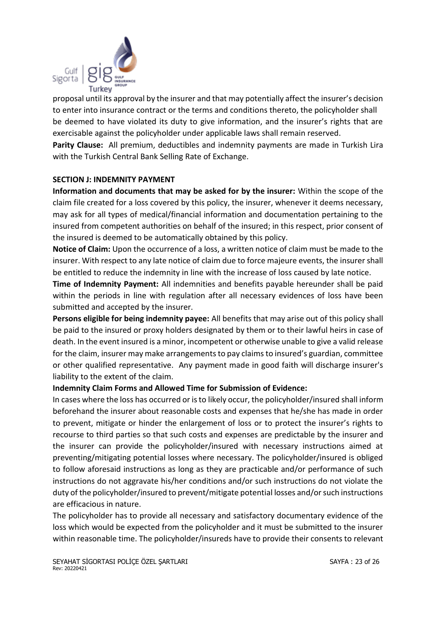

proposal until its approval by the insurer and that may potentially affect the insurer's decision to enter into insurance contract or the terms and conditions thereto, the policyholder shall be deemed to have violated its duty to give information, and the insurer's rights that are exercisable against the policyholder under applicable laws shall remain reserved.

**Parity Clause:** All premium, deductibles and indemnity payments are made in Turkish Lira with the Turkish Central Bank Selling Rate of Exchange.

### **SECTION J: INDEMNITY PAYMENT**

**Information and documents that may be asked for by the insurer:** Within the scope of the claim file created for a loss covered by this policy, the insurer, whenever it deems necessary, may ask for all types of medical/financial information and documentation pertaining to the insured from competent authorities on behalf of the insured; in this respect, prior consent of the insured is deemed to be automatically obtained by this policy.

**Notice of Claim:** Upon the occurrence of a loss, a written notice of claim must be made to the insurer. With respect to any late notice of claim due to force majeure events, the insurer shall be entitled to reduce the indemnity in line with the increase of loss caused by late notice.

**Time of Indemnity Payment:** All indemnities and benefits payable hereunder shall be paid within the periods in line with regulation after all necessary evidences of loss have been submitted and accepted by the insurer.

**Persons eligible for being indemnity payee:** All benefits that may arise out of this policy shall be paid to the insured or proxy holders designated by them or to their lawful heirs in case of death. In the event insured is a minor, incompetent or otherwise unable to give a valid release for the claim, insurer may make arrangements to pay claims to insured's guardian, committee or other qualified representative. Any payment made in good faith will discharge insurer's liability to the extent of the claim.

#### **Indemnity Claim Forms and Allowed Time for Submission of Evidence:**

In cases where the loss has occurred or is to likely occur, the policyholder/insured shall inform beforehand the insurer about reasonable costs and expenses that he/she has made in order to prevent, mitigate or hinder the enlargement of loss or to protect the insurer's rights to recourse to third parties so that such costs and expenses are predictable by the insurer and the insurer can provide the policyholder/insured with necessary instructions aimed at preventing/mitigating potential losses where necessary. The policyholder/insured is obliged to follow aforesaid instructions as long as they are practicable and/or performance of such instructions do not aggravate his/her conditions and/or such instructions do not violate the duty of the policyholder/insured to prevent/mitigate potential losses and/or such instructions are efficacious in nature.

The policyholder has to provide all necessary and satisfactory documentary evidence of the loss which would be expected from the policyholder and it must be submitted to the insurer within reasonable time. The policyholder/insureds have to provide their consents to relevant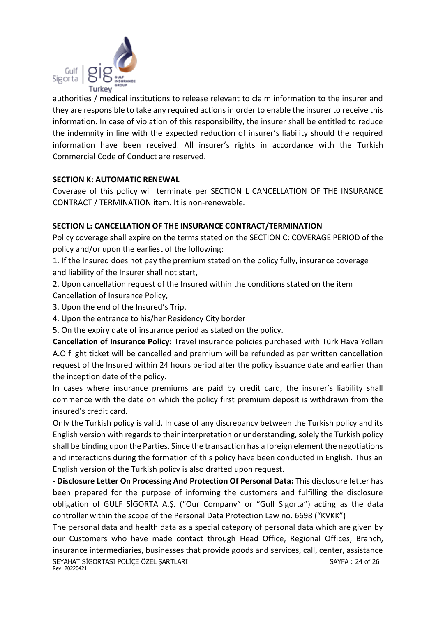

authorities / medical institutions to release relevant to claim information to the insurer and they are responsible to take any required actions in order to enable the insurer to receive this information. In case of violation of this responsibility, the insurer shall be entitled to reduce the indemnity in line with the expected reduction of insurer's liability should the required information have been received. All insurer's rights in accordance with the Turkish Commercial Code of Conduct are reserved.

## **SECTION K: AUTOMATIC RENEWAL**

Coverage of this policy will terminate per SECTION L CANCELLATION OF THE INSURANCE CONTRACT / TERMINATION item. It is non-renewable.

### **SECTION L: CANCELLATION OF THE INSURANCE CONTRACT/TERMINATION**

Policy coverage shall expire on the terms stated on the SECTION C: COVERAGE PERIOD of the policy and/or upon the earliest of the following:

1. If the Insured does not pay the premium stated on the policy fully, insurance coverage and liability of the Insurer shall not start,

2. Upon cancellation request of the Insured within the conditions stated on the item Cancellation of Insurance Policy,

- 3. Upon the end of the Insured's Trip,
- 4. Upon the entrance to his/her Residency City border
- 5. On the expiry date of insurance period as stated on the policy.

**Cancellation of Insurance Policy:** Travel insurance policies purchased with Türk Hava Yolları A.O flight ticket will be cancelled and premium will be refunded as per written cancellation request of the Insured within 24 hours period after the policy issuance date and earlier than the inception date of the policy.

In cases where insurance premiums are paid by credit card, the insurer's liability shall commence with the date on which the policy first premium deposit is withdrawn from the insured's credit card.

Only the Turkish policy is valid. In case of any discrepancy between the Turkish policy and its English version with regards to their interpretation or understanding, solely the Turkish policy shall be binding upon the Parties. Since the transaction has a foreign element the negotiations and interactions during the formation of this policy have been conducted in English. Thus an English version of the Turkish policy is also drafted upon request.

**- Disclosure Letter On Processing And Protection Of Personal Data:** This disclosure letter has been prepared for the purpose of informing the customers and fulfilling the disclosure obligation of GULF SİGORTA A.Ş. ("Our Company" or "Gulf Sigorta") acting as the data controller within the scope of the Personal Data Protection Law no. 6698 ("KVKK")

SEYAHAT SİGORTASI POLİÇE ÖZEL ŞARTLARI SAYFA : 24 of 26 Rev: 20220421 The personal data and health data as a special category of personal data which are given by our Customers who have made contact through Head Office, Regional Offices, Branch, insurance intermediaries, businesses that provide goods and services, call, center, assistance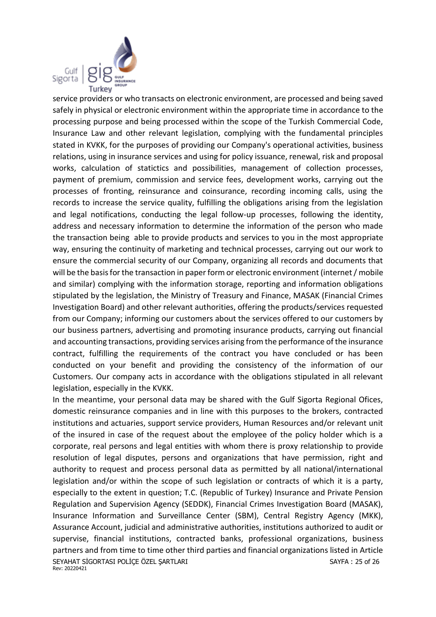

service providers or who transacts on electronic environment, are processed and being saved safely in physical or electronic environment within the appropriate time in accordance to the processing purpose and being processed within the scope of the Turkish Commercial Code, Insurance Law and other relevant legislation, complying with the fundamental principles stated in KVKK, for the purposes of providing our Company's operational activities, business relations, using in insurance services and using for policy issuance, renewal, risk and proposal works, calculation of statictics and possibilities, management of collection processes, payment of premium, commission and service fees, development works, carrying out the processes of fronting, reinsurance and coinsurance, recording incoming calls, using the records to increase the service quality, fulfilling the obligations arising from the legislation and legal notifications, conducting the legal follow-up processes, following the identity, address and necessary information to determine the information of the person who made the transaction being able to provide products and services to you in the most appropriate way, ensuring the continuity of marketing and technical processes, carrying out our work to ensure the commercial security of our Company, organizing all records and documents that will be the basis for the transaction in paper form or electronic environment (internet / mobile and similar) complying with the information storage, reporting and information obligations stipulated by the legislation, the Ministry of Treasury and Finance, MASAK (Financial Crimes Investigation Board) and other relevant authorities, offering the products/services requested from our Company; informing our customers about the services offered to our customers by our business partners, advertising and promoting insurance products, carrying out financial and accounting transactions, providing services arising from the performance of the insurance contract, fulfilling the requirements of the contract you have concluded or has been conducted on your benefit and providing the consistency of the information of our Customers. Our company acts in accordance with the obligations stipulated in all relevant legislation, especially in the KVKK.

SEYAHAT SİGORTASI POLİCE ÖZEL SARTLARI SAYFA : 25 of 26 Rev: 20220421 In the meantime, your personal data may be shared with the Gulf Sigorta Regional Ofices, domestic reinsurance companies and in line with this purposes to the brokers, contracted institutions and actuaries, support service providers, Human Resources and/or relevant unit of the insured in case of the request about the employee of the policy holder which is a corporate, real persons and legal entities with whom there is proxy relationship to provide resolution of legal disputes, persons and organizations that have permission, right and authority to request and process personal data as permitted by all national/international legislation and/or within the scope of such legislation or contracts of which it is a party, especially to the extent in question; T.C. (Republic of Turkey) Insurance and Private Pension Regulation and Supervision Agency (SEDDK), Financial Crimes Investigation Board (MASAK), Insurance Information and Surveillance Center (SBM), Central Registry Agency (MKK), Assurance Account, judicial and administrative authorities, institutions authorized to audit or supervise, financial institutions, contracted banks, professional organizations, business partners and from time to time other third parties and financial organizations listed in Article